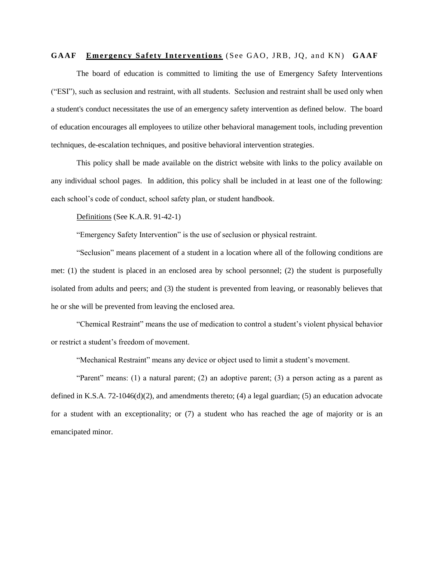## **GAAF Emergency Safety Interventions** (See GAO, JRB, JQ, and KN) **GAAF**

The board of education is committed to limiting the use of Emergency Safety Interventions ("ESI"), such as seclusion and restraint, with all students. Seclusion and restraint shall be used only when a student's conduct necessitates the use of an emergency safety intervention as defined below. The board of education encourages all employees to utilize other behavioral management tools, including prevention techniques, de-escalation techniques, and positive behavioral intervention strategies.

This policy shall be made available on the district website with links to the policy available on any individual school pages. In addition, this policy shall be included in at least one of the following: each school's code of conduct, school safety plan, or student handbook.

Definitions (See K.A.R. 91-42-1)

"Emergency Safety Intervention" is the use of seclusion or physical restraint.

"Seclusion" means placement of a student in a location where all of the following conditions are met: (1) the student is placed in an enclosed area by school personnel; (2) the student is purposefully isolated from adults and peers; and (3) the student is prevented from leaving, or reasonably believes that he or she will be prevented from leaving the enclosed area.

"Chemical Restraint" means the use of medication to control a student's violent physical behavior or restrict a student's freedom of movement.

"Mechanical Restraint" means any device or object used to limit a student's movement.

"Parent" means: (1) a natural parent; (2) an adoptive parent; (3) a person acting as a parent as defined in K.S.A.  $72-1046(d)(2)$ , and amendments thereto; (4) a legal guardian; (5) an education advocate for a student with an exceptionality; or (7) a student who has reached the age of majority or is an emancipated minor.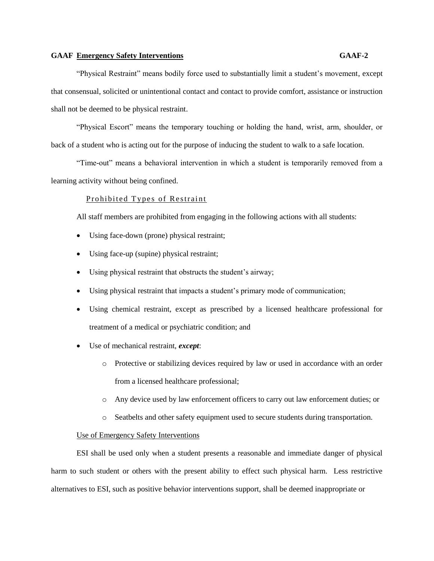"Physical Restraint" means bodily force used to substantially limit a student's movement, except that consensual, solicited or unintentional contact and contact to provide comfort, assistance or instruction shall not be deemed to be physical restraint.

"Physical Escort" means the temporary touching or holding the hand, wrist, arm, shoulder, or back of a student who is acting out for the purpose of inducing the student to walk to a safe location.

"Time-out" means a behavioral intervention in which a student is temporarily removed from a learning activity without being confined.

# Prohibited Types of Restraint

All staff members are prohibited from engaging in the following actions with all students:

- Using face-down (prone) physical restraint;
- Using face-up (supine) physical restraint;
- Using physical restraint that obstructs the student's airway;
- Using physical restraint that impacts a student's primary mode of communication;
- Using chemical restraint, except as prescribed by a licensed healthcare professional for treatment of a medical or psychiatric condition; and
- Use of mechanical restraint, *except*:
	- o Protective or stabilizing devices required by law or used in accordance with an order from a licensed healthcare professional;
	- o Any device used by law enforcement officers to carry out law enforcement duties; or
	- o Seatbelts and other safety equipment used to secure students during transportation.

#### Use of Emergency Safety Interventions

ESI shall be used only when a student presents a reasonable and immediate danger of physical harm to such student or others with the present ability to effect such physical harm. Less restrictive alternatives to ESI, such as positive behavior interventions support, shall be deemed inappropriate or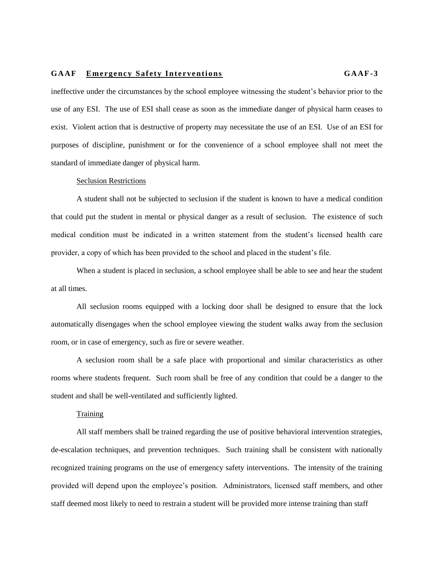ineffective under the circumstances by the school employee witnessing the student's behavior prior to the use of any ESI. The use of ESI shall cease as soon as the immediate danger of physical harm ceases to exist. Violent action that is destructive of property may necessitate the use of an ESI. Use of an ESI for purposes of discipline, punishment or for the convenience of a school employee shall not meet the standard of immediate danger of physical harm.

## Seclusion Restrictions

A student shall not be subjected to seclusion if the student is known to have a medical condition that could put the student in mental or physical danger as a result of seclusion. The existence of such medical condition must be indicated in a written statement from the student's licensed health care provider, a copy of which has been provided to the school and placed in the student's file.

When a student is placed in seclusion, a school employee shall be able to see and hear the student at all times.

All seclusion rooms equipped with a locking door shall be designed to ensure that the lock automatically disengages when the school employee viewing the student walks away from the seclusion room, or in case of emergency, such as fire or severe weather.

A seclusion room shall be a safe place with proportional and similar characteristics as other rooms where students frequent. Such room shall be free of any condition that could be a danger to the student and shall be well-ventilated and sufficiently lighted.

## **Training**

All staff members shall be trained regarding the use of positive behavioral intervention strategies, de-escalation techniques, and prevention techniques. Such training shall be consistent with nationally recognized training programs on the use of emergency safety interventions. The intensity of the training provided will depend upon the employee's position. Administrators, licensed staff members, and other staff deemed most likely to need to restrain a student will be provided more intense training than staff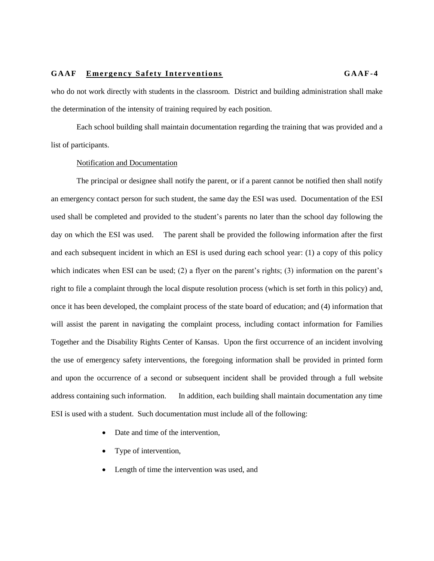who do not work directly with students in the classroom. District and building administration shall make the determination of the intensity of training required by each position.

Each school building shall maintain documentation regarding the training that was provided and a list of participants.

# Notification and Documentation

The principal or designee shall notify the parent, or if a parent cannot be notified then shall notify an emergency contact person for such student, the same day the ESI was used. Documentation of the ESI used shall be completed and provided to the student's parents no later than the school day following the day on which the ESI was used. The parent shall be provided the following information after the first and each subsequent incident in which an ESI is used during each school year: (1) a copy of this policy which indicates when ESI can be used; (2) a flyer on the parent's rights; (3) information on the parent's right to file a complaint through the local dispute resolution process (which is set forth in this policy) and, once it has been developed, the complaint process of the state board of education; and (4) information that will assist the parent in navigating the complaint process, including contact information for Families Together and the Disability Rights Center of Kansas. Upon the first occurrence of an incident involving the use of emergency safety interventions, the foregoing information shall be provided in printed form and upon the occurrence of a second or subsequent incident shall be provided through a full website address containing such information. In addition, each building shall maintain documentation any time ESI is used with a student. Such documentation must include all of the following:

- Date and time of the intervention,
- Type of intervention,
- Length of time the intervention was used, and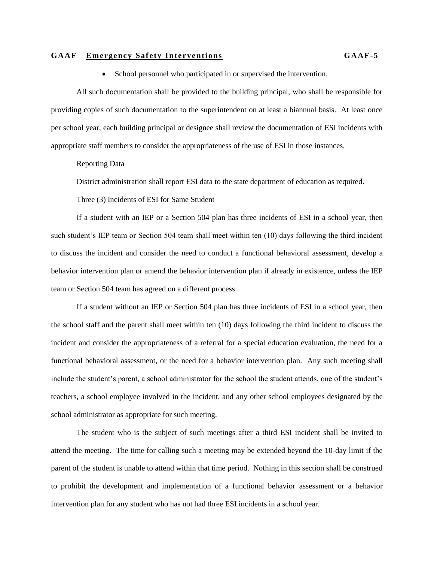School personnel who participated in or supervised the intervention.

All such documentation shall be provided to the building principal, who shall be responsible for providing copies of such documentation to the superintendent on at least a biannual basis. At least once per school year, each building principal or designee shall review the documentation of ESI incidents with appropriate staff members to consider the appropriateness of the use of ESI in those instances.

## Reporting Data

District administration shall report ESI data to the state department of education as required.

## Three (3) Incidents of ESI for Same Student

If a student with an IEP or a Section 504 plan has three incidents of ESI in a school year, then such student's IEP team or Section 504 team shall meet within ten (10) days following the third incident to discuss the incident and consider the need to conduct a functional behavioral assessment, develop a behavior intervention plan or amend the behavior intervention plan if already in existence, unless the IEP team or Section 504 team has agreed on a different process.

If a student without an IEP or Section 504 plan has three incidents of ESI in a school year, then the school staff and the parent shall meet within ten (10) days following the third incident to discuss the incident and consider the appropriateness of a referral for a special education evaluation, the need for a functional behavioral assessment, or the need for a behavior intervention plan. Any such meeting shall include the student's parent, a school administrator for the school the student attends, one of the student's teachers, a school employee involved in the incident, and any other school employees designated by the school administrator as appropriate for such meeting.

The student who is the subject of such meetings after a third ESI incident shall be invited to attend the meeting. The time for calling such a meeting may be extended beyond the 10-day limit if the parent of the student is unable to attend within that time period. Nothing in this section shall be construed to prohibit the development and implementation of a functional behavior assessment or a behavior intervention plan for any student who has not had three ESI incidents in a school year.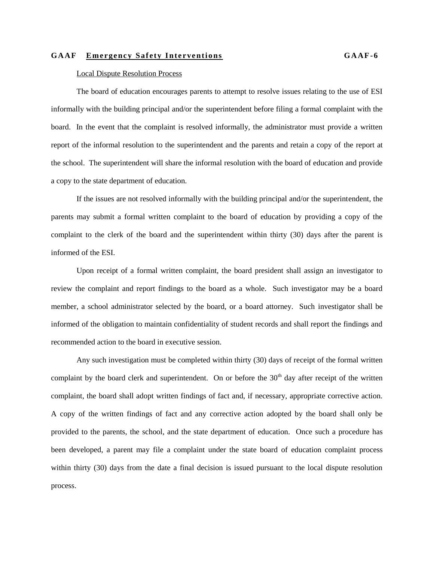## Local Dispute Resolution Process

The board of education encourages parents to attempt to resolve issues relating to the use of ESI informally with the building principal and/or the superintendent before filing a formal complaint with the board. In the event that the complaint is resolved informally, the administrator must provide a written report of the informal resolution to the superintendent and the parents and retain a copy of the report at the school. The superintendent will share the informal resolution with the board of education and provide a copy to the state department of education.

If the issues are not resolved informally with the building principal and/or the superintendent, the parents may submit a formal written complaint to the board of education by providing a copy of the complaint to the clerk of the board and the superintendent within thirty (30) days after the parent is informed of the ESI.

Upon receipt of a formal written complaint, the board president shall assign an investigator to review the complaint and report findings to the board as a whole. Such investigator may be a board member, a school administrator selected by the board, or a board attorney. Such investigator shall be informed of the obligation to maintain confidentiality of student records and shall report the findings and recommended action to the board in executive session.

Any such investigation must be completed within thirty (30) days of receipt of the formal written complaint by the board clerk and superintendent. On or before the  $30<sup>th</sup>$  day after receipt of the written complaint, the board shall adopt written findings of fact and, if necessary, appropriate corrective action. A copy of the written findings of fact and any corrective action adopted by the board shall only be provided to the parents, the school, and the state department of education. Once such a procedure has been developed, a parent may file a complaint under the state board of education complaint process within thirty (30) days from the date a final decision is issued pursuant to the local dispute resolution process.